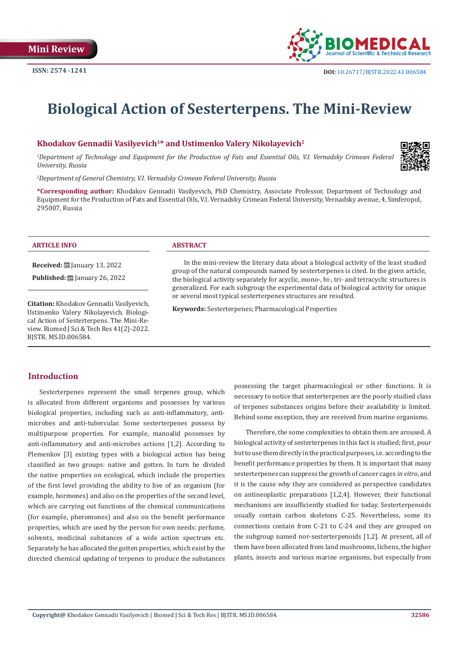

# **Biological Action of Sesterterpens. The Mini-Review**

## Khodakov Gennadii Vasilyevich<sup>1\*</sup> and Ustimenko Valery Nikolayevich<sup>2</sup>

<sup>1</sup>Department of Technology and Equipment for the Production of Fats and Essential Oils, V.I. Vernadsky Crimean Federal *University, Russia*



**\*Corresponding author:** Khodakov Gennadii Vasilyevich, PhD Chemistry, Associate Professor, Department of Technology and Equipment for the Production of Fats and Essential Oils, V.I. Vernadsky Crimean Federal University, Vernadsky avenue, 4, Simferopol, 295007, Russia

#### **ARTICLE INFO ABSTRACT**

**Received:** January 13, 2022

**Published:** <u>□</u> January 26, 2022

**Citation:** Khodakov Gennadii Vasilyevich, Ustimenko Valery Nikolayevich. Biological Action of Sesterterpens. The Mini-Review. Biomed J Sci & Tech Res 41(2)-2022. BJSTR. MS.ID.006584.

In the mini-review the literary data about a biological activity of the least studied group of the natural compounds named by sesterterpenes is cited. In the given article, the biological activity separately for acyclic, mono-, bi-, tri- and tetracyclic structures is generalized. For each subgroup the experimental data of biological activity for unique or several most typical sesterterpenes structures are resulted.

**Keywords:** Sesterterpenes; Pharmacological Properties

# **Introduction**

Sesterterpenes represent the small terpenes group, which is allocated from different organisms and possesses by various biological properties, including such as anti-inflammatory, antimicrobes and anti-tubercular. Some sesterterpenes possess by multipurpose properties. For example, manoalid possesses by anti-inflammatory and anti-microbes actions [1,2]. According to Plemenkov [3] existing types with a biological action has being classified as two groups: native and gotten. In turn he divided the native properties on ecological, which include the properties of the first level providing the ability to live of an organism (for example, hormones) and also on the properties of the second level, which are carrying out functions of the chemical communications (for example, pheromones) and also on the benefit performance properties, which are used by the person for own needs: perfume, solvents, medicinal substances of a wide action spectrum etc. Separately he has allocated the gotten properties, which exist by the directed chemical updating of terpenes to produce the substances possessing the target pharmacological or other functions. It is necessary to notice that sesterterpenes are the poorly studied class of terpenes substances origins before their availability is limited. Behind some exception, they are received from marine organisms.

Therefore, the some complexities to obtain them are aroused. A biological activity of sesterterpenes in this fact is studied; first, pour but to use them directly in the practical purposes, i.e. according to the benefit performance properties by them. It is important that many sesterterpenes can suppress the growth of cancer cages *in vitro*, and it is the cause why they are considered as perspective candidates on antineoplastic preparations [1,2,4]. However, their functional mechanisms are insufficiently studied for today. Sesterterpenoids usually contain carbon skeletons C-25. Nevertheless, some its connections contain from C-21 to C-24 and they are grouped on the subgroup named nor-sesterterpenoids [1,2]. At present, all of them have been allocated from land mushrooms, lichens, the higher plants, insects and various marine organisms, but especially from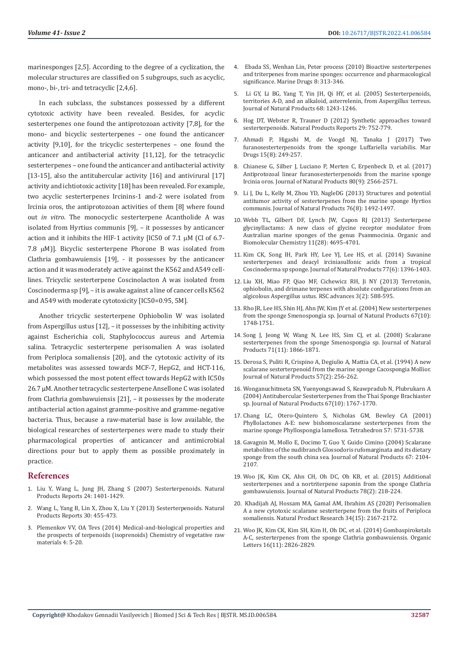marinesponges [2,5]. According to the degree of a cyclization, the molecular structures are classified on 5 subgroups, such as acyclic, mono-, bi-, tri- and tetracyclic [2,4,6].

In each subclass, the substances possessed by a different cytotoxic activity have been revealed. Besides, for acyclic sesterterpenes one found the antiprotozoan activity [7,8], for the mono- and bicyclic sesterterpenes – one found the anticancer activity [9,10], for the tricyclic sesterterpenes – one found the anticancer and antibacterial activity [11,12], for the tetracyclic sesterterpenes – one found the anticancer and antibacterial activity [13-15], also the antitubercular activity [16] and antivirural [17] activity and ichtiotoxic activity [18] has been revealed. For example, two acyclic sesterterpenes Ircinins-1 and-2 were isolated from Ircinia oros, the antiprotozoan activities of them [8] where found out *in vitro*. The monocyclic sesterterpene Acantholide A was isolated from Hyrtius communis [9], – it possesses by anticancer action and it inhibits the HIF-1 activity [IC50 of 7.1  $\mu$ M (Cl of 6.7-7.8 µM)]. Bicyclic sesterterpene Phorone B was isolated from Clathria gombawuiensis [19], - it possesses by the anticancer action and it was moderately active against the K562 and A549 celllines. Tricyclic sesterterpene Coscinolacton A was isolated from Coscinoderma sp [9], – it is awake against a line of cancer cells K562 and A549 with moderate cytotoxicity [IC50=0.95, 5M].

Another tricyclic sesterterpene Ophiobolin W was isolated from Aspergillus ustus [12], – it possesses by the inhibiting activity against Escherichia coli, Staphylococcus aureus and Artemia salina. Tetracyclic sesterterpene perisomalien A was isolated from Periploca somaliensis [20], and the cytotoxic activity of its metabolites was assessed towards MCF-7, HepG2, and HCT-116, which possessed the most potent effect towards HepG2 with IC50s 26.7 μM. Another tetracyclic sesterterpene Ansellone C was isolated from Clathria gombawuiensis [21], – it possesses by the moderate antibacterial action against gramme-positive and gramme-negative bacteria. Thus, because a raw-material base is low available, the biological researches of sesterterpenes were made to study their pharmacological properties of anticancer and antimicrobial directions pour but to apply them as possible proximately in practice.

#### **References**

- 1. Liu Y, Wang L, Jung JH, Zhang S (2007) Sesterterpenoids. Natural Products Reports 24: 1401-1429.
- 2. Wang L, Yang B, Lin X, Zhou X, Liu Y (2013) Sesterterpenoids. Natural Products Reports 30: 455-473.
- 3. Plemenkov VV, OA Tevs (2014) Medical-and-biological properties and the prospects of terpenoids (isoprenoids) Chemistry of vegetative raw materials 4: 5-20.
- 4. Ebada SS, Wenhan Lin, Peter process (2010) Bioactive sesterterpenes and triterpenes from marine sponges: occurrence and pharmacological significance. Marine Drugs 8: 313-346.
- 5. [Li GY, Li BG, Yang T, Yin JH, Qi HY, et al. \(2005\) Sesterterpenoids,](https://pubs.acs.org/doi/10.1021/np0501738) [territories A-D, and an alkaloid, asterrelenin, from Aspergillus terreus.](https://pubs.acs.org/doi/10.1021/np0501738) [Journal of Natural Products 68: 1243-1246.](https://pubs.acs.org/doi/10.1021/np0501738)
- 6. [Hog DT, Webster R, Trauner D \(2012\) Synthetic approaches toward](https://pubmed.ncbi.nlm.nih.gov/22652980/) [sesterterpenoids. Natural Products Reports 29: 752-779.](https://pubmed.ncbi.nlm.nih.gov/22652980/)
- 7. [Ahmadi P, Higashi M, de Voogd NJ, Tanaka J \(2017\) Two](https://www.ncbi.nlm.nih.gov/labs/pmc/articles/PMC5577604/) [furanosesterterpenoids from the sponge Luffariella variabilis. Mar](https://www.ncbi.nlm.nih.gov/labs/pmc/articles/PMC5577604/) [Drugs 15\(8\): 249-257.](https://www.ncbi.nlm.nih.gov/labs/pmc/articles/PMC5577604/)
- 8. [Chianese G, Silber J, Luciano P, Merten C, Erpenbeck D, et al. \(2017\)](https://pubs.acs.org/doi/10.1021/acs.jnatprod.7b00543) [Antiprotozoal linear furanosesterterpenoids from the marine sponge](https://pubs.acs.org/doi/10.1021/acs.jnatprod.7b00543) [Ircinia oros. Journal of Natural Products 80\(9\): 2566-2571.](https://pubs.acs.org/doi/10.1021/acs.jnatprod.7b00543)
- 9. [Li J, Du L, Kelly M, Zhou YD, NagleDG \(2013\) Structures and potential](https://pubmed.ncbi.nlm.nih.gov/23944963/) [antitumor activity of sesterterpenes from the marine sponge Hyrtios](https://pubmed.ncbi.nlm.nih.gov/23944963/) [communis. Journal of Natural Products 76\(8\): 1492-1497.](https://pubmed.ncbi.nlm.nih.gov/23944963/)
- 10. [Webb TL, Gilbert DF, Lynch JW, Capon RJ \(2013\) Sesterterpene](https://pubs.rsc.org/en/content/articlelanding/2013/ob/c3ob40861b) [glycinyllactams: A new class of glycine receptor modulator from](https://pubs.rsc.org/en/content/articlelanding/2013/ob/c3ob40861b) [Australian marine sponges of the genus Psammocinia. Organic and](https://pubs.rsc.org/en/content/articlelanding/2013/ob/c3ob40861b) [Biomolecular Chemistry 11\(28\): 4695-4701.](https://pubs.rsc.org/en/content/articlelanding/2013/ob/c3ob40861b)
- 11. [Kim CK, Song IH, Park HY, Lee YJ, Lee HS, et al. \(2014\) Suvanine](https://pubs.acs.org/doi/10.1021/np500156n) [sesterterpenes and deacyl irciniasulfonic acids from a tropical](https://pubs.acs.org/doi/10.1021/np500156n) [Coscinoderma sp sponge. Journal of Natural Products 77\(6\): 1396-1403.](https://pubs.acs.org/doi/10.1021/np500156n)
- 12. [Liu XH, Miao FP, Qiao MF, Cichewicz RH, Ji NY \(2013\) Terretonin,](https://pubs.rsc.org/en/content/articlelanding/2013/ra/c2ra22701k) [ophiobolin, and drimane terpenes with absolute configurations from an](https://pubs.rsc.org/en/content/articlelanding/2013/ra/c2ra22701k) [algicolous Aspergillus ustus. RSC advances 3\(2\): 588-595.](https://pubs.rsc.org/en/content/articlelanding/2013/ra/c2ra22701k)
- 13. [Rho JR, Lee HS, Shin HJ, Ahn JW, Kim JY et al. \(2004\) New sesterterpenes](https://pubmed.ncbi.nlm.nih.gov/15497955/) [from the sponge Smenospongia sp. Journal of Natural Products 67\(10\):](https://pubmed.ncbi.nlm.nih.gov/15497955/) [1748-1751.](https://pubmed.ncbi.nlm.nih.gov/15497955/)
- 14. [Song J, Jeong W, Wang N, Lee HS, Sim CJ, et al. \(2008\) Scalarane](https://pubmed.ncbi.nlm.nih.gov/18973387/) [sesterterpenes from the sponge Smenospongia sp. Journal of Natural](https://pubmed.ncbi.nlm.nih.gov/18973387/) [Products 71\(11\): 1866-1871.](https://pubmed.ncbi.nlm.nih.gov/18973387/)
- 15. [Derosa S, Puliti R, Crispino A, Degiulio A, Mattia CA, et al. \(1994\) A new](https://pubmed.ncbi.nlm.nih.gov/8176402/) [scalarane sesterterpenoid from the marine sponge Cacospongia Mollior.](https://pubmed.ncbi.nlm.nih.gov/8176402/) [Journal of Natural Products 57\(2\): 256-262.](https://pubmed.ncbi.nlm.nih.gov/8176402/)
- 16. [Wonganuchitmeta SN, Yuenyongsawad S, Keawpradub N, Plubrukarn A](https://pubs.acs.org/doi/10.1021/np0498354) [\(2004\) Antitubercular Sesterterpenes from the Thai Sponge Brachiaster](https://pubs.acs.org/doi/10.1021/np0498354) [sp. Journal of Natural Products 67\(10\): 1767-1770.](https://pubs.acs.org/doi/10.1021/np0498354)
- 17. [Chang LC, Otero-Quintero S, Nicholas GM, Bewley CA \(2001\)](https://www.researchgate.net/publication/244185847_ChemInform_Abstract_Phyllolactones_A-E_New_Bishomoscalarane_Sesterterpenes_from_the_Marine_Sponge_Phyllospongia_lamellosa) [Phyllolactones A-E: new bishomoscalarane sesterterpenes from the](https://www.researchgate.net/publication/244185847_ChemInform_Abstract_Phyllolactones_A-E_New_Bishomoscalarane_Sesterterpenes_from_the_Marine_Sponge_Phyllospongia_lamellosa) [marine sponge Phyllospongia lamellosa. Tetrahedron 57: 5731-5738.](https://www.researchgate.net/publication/244185847_ChemInform_Abstract_Phyllolactones_A-E_New_Bishomoscalarane_Sesterterpenes_from_the_Marine_Sponge_Phyllospongia_lamellosa)
- 18. [Gavagnin M, Mollo E, Docimo T, Guo Y, Guido Cimino \(2004\) Scalarane](https://pubs.acs.org/doi/10.1021/np040087s) [metabolites of the nudibranch Glossodoris rufomarginata and its dietary](https://pubs.acs.org/doi/10.1021/np040087s) [sponge from the south china sea. Journal of Natural Products 67: 2104-](https://pubs.acs.org/doi/10.1021/np040087s) [2107.](https://pubs.acs.org/doi/10.1021/np040087s)
- 19. [Woo JK, Kim CK, Ahn CH, Oh DC, Oh KB, et al. \(2015\) Additional](https://pubs.acs.org/doi/full/10.1021/np500753q) [sesterterpenes and a nortriterpene saponin from the sponge Clathria](https://pubs.acs.org/doi/full/10.1021/np500753q) [gombawuiensis. Journal of Natural Products 78\(2\): 218-224.](https://pubs.acs.org/doi/full/10.1021/np500753q)
- 20. [Khadijah AJ, Hossam MA, Gamal AM, Ibrahim AS \(2020\) Perisomalien](https://www.tandfonline.com/doi/full/10.1080/14786419.2019.1577842) [A a new cytotoxic scalarane sesterterpene from the fruits of Periploca](https://www.tandfonline.com/doi/full/10.1080/14786419.2019.1577842) [somaliensis. Natural Product Research 34\(15\): 2167-2172.](https://www.tandfonline.com/doi/full/10.1080/14786419.2019.1577842)
- 21. [Woo JK, Kim CK, Kim SH, Kim H, Oh DC, et al. \(2014\) Gombaspiroketals](https://pubs.acs.org/doi/10.1021/ol500868s) [A-C, sesterterpenes from the sponge Clathria gombawuiensis. Organic](https://pubs.acs.org/doi/10.1021/ol500868s) [Letters 16\(11\): 2826-2829.](https://pubs.acs.org/doi/10.1021/ol500868s)